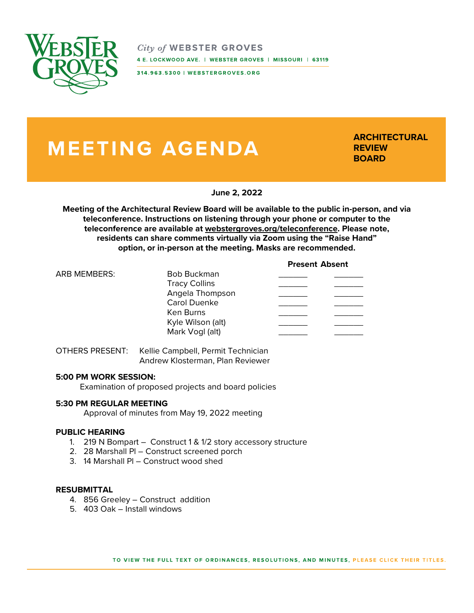

 $City of WEBSTER$  GROVES 4 E. LOCKWOOD AVE. | WEBSTER GROVES | MISSOURI | 63119

314.963.5300 | WEBSTERGROVES.ORG

# **MEETING AGENDA**

**ARCHITECTURAL REVIEW BOARD**

**June 2, 2022**

**Meeting of the Architectural Review Board will be available to the public in-person, and via teleconference. Instructions on listening through your phone or computer to the teleconference are available at webstergroves.org/teleconference. Please note, residents can share comments virtually via Zoom using the "Raise Hand" option, or in-person at the meeting. Masks are recommended.**

### **Present Absent**

| <b>ARB MEMBERS:</b> | <b>Bob Buckman</b>   |  |
|---------------------|----------------------|--|
|                     | <b>Tracy Collins</b> |  |
|                     | Angela Thompson      |  |
|                     | <b>Carol Duenke</b>  |  |
|                     | Ken Burns            |  |
|                     | Kyle Wilson (alt)    |  |
|                     | Mark Vogl (alt)      |  |

OTHERS PRESENT: Kellie Campbell, Permit Technician Andrew Klosterman, Plan Reviewer

#### **5:00 PM WORK SESSION:**

Examination of proposed projects and board policies

#### **5:30 PM REGULAR MEETING**

Approval of minutes from May 19, 2022 meeting

# **PUBLIC HEARING**

- 1. 219 N Bompart Construct 1 & 1/2 story accessory structure
- 2. 28 Marshall Pl Construct screened porch
- 3. 14 Marshall Pl Construct wood shed

#### **RESUBMITTAL**

- 4. 856 Greeley Construct addition
- 5. 403 Oak Install windows